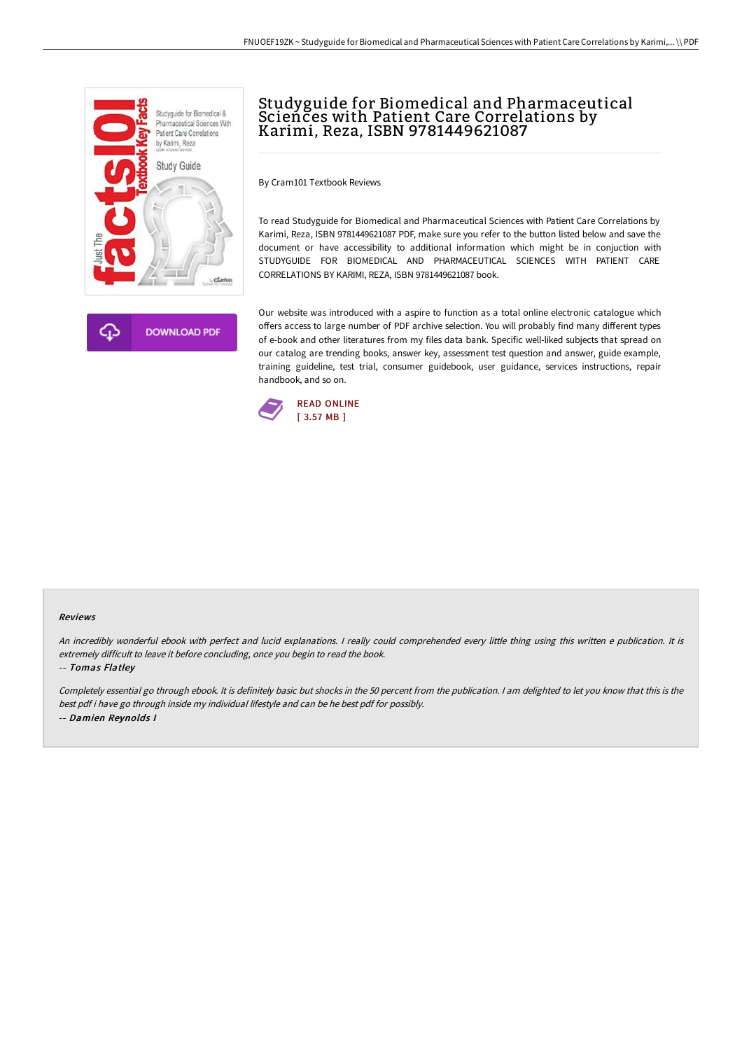



# Studyguide for Biomedical and Pharmaceutical Sciences with Patient Care Correlations by Karimi, Reza, ISBN 9781449621087

By Cram101 Textbook Reviews

To read Studyguide for Biomedical and Pharmaceutical Sciences with Patient Care Correlations by Karimi, Reza, ISBN 9781449621087 PDF, make sure you refer to the button listed below and save the document or have accessibility to additional information which might be in conjuction with STUDYGUIDE FOR BIOMEDICAL AND PHARMACEUTICAL SCIENCES WITH PATIENT CARE CORRELATIONS BY KARIMI, REZA, ISBN 9781449621087 book.

Our website was introduced with a aspire to function as a total online electronic catalogue which offers access to large number of PDF archive selection. You will probably find many different types of e-book and other literatures from my files data bank. Specific well-liked subjects that spread on our catalog are trending books, answer key, assessment test question and answer, guide example, training guideline, test trial, consumer guidebook, user guidance, services instructions, repair handbook, and so on.



#### Reviews

An incredibly wonderful ebook with perfect and lucid explanations. I really could comprehended every little thing using this written e publication. It is extremely difficult to leave it before concluding, once you begin to read the book.

#### -- Tomas Flatley

Completely essential go through ebook. It is definitely basic but shocks in the <sup>50</sup> percent from the publication. <sup>I</sup> am delighted to let you know that this is the best pdf i have go through inside my individual lifestyle and can be he best pdf for possibly. -- Damien Reynolds I